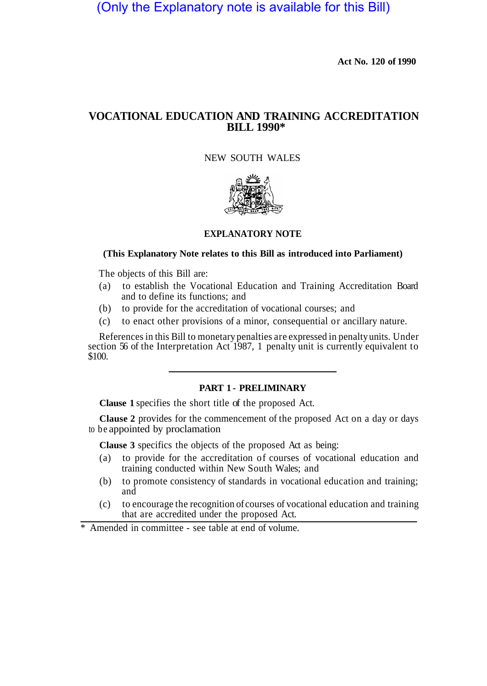(Only the Explanatory note is available for this Bill)

**Act No. 120 of 1990** 

# **VOCATIONAL EDUCATION AND TRAINING ACCREDITATION BILL 1990\***

# NEW SOUTH WALES



### **EXPLANATORY NOTE**

### **(This Explanatory Note relates to this Bill as introduced into Parliament)**

The objects of this Bill are:

- (a) to establish the Vocational Education and Training Accreditation Board and to define its functions; and
- (b) to provide for the accreditation of vocational courses; and
- (c) to enact other provisions of a minor, consequential or ancillary nature.

References in this Bill to monetary penalties are expressed in penalty units. Under section 56 of the Interpretation Act 1987, 1 penalty unit is currently equivalent to \$100.

# **PART 1 - PRELIMINARY**

**Clause 1** specifies the short title of the proposed Act.

**Clause 2** provides for the commencement of the proposed Act on a day or days to be appointed by proclamation

**Clause 3** specifics the objects of the proposed Act as being:

- (a) to provide for the accreditation of courses of vocational education and training conducted within New South Wales; and
- (b) to promote consistency of standards in vocational education and training; and
- (c) to encourage the recognition of courses of vocational education and training that are accredited under the proposed Act.

\* Amended in committee - see table at end of volume.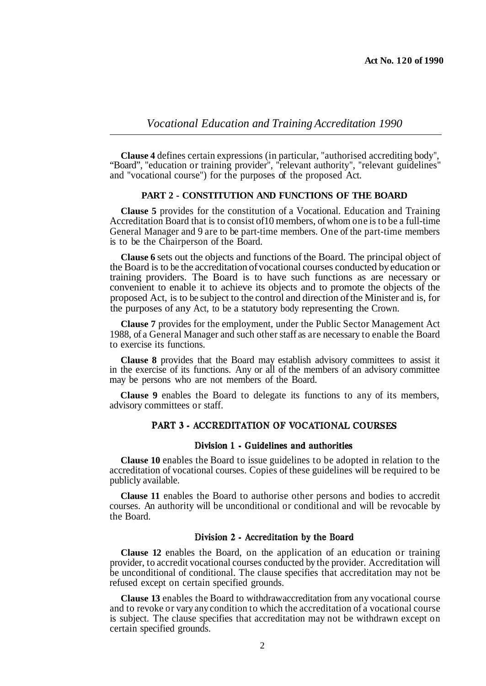**Clause 4** defines certain expressions (in particular, "authorised accrediting body", "Board", "education or training provider", "relevant authority", "relevant guidelines" and "vocational course") for the purposes of the proposed Act.

### **PART 2 - CONSTITUTION AND FUNCTIONS OF THE BOARD**

**Clause 5** provides for the constitution of a Vocational. Education and Training Accreditation Board that is to consist of 10 members, of whom one is to be a full-time General Manager and 9 are to be part-time members. One of the part-time members is to be the Chairperson of the Board.

**Clause 6** sets out the objects and functions of the Board. The principal object of the Board is to be the accreditation of vocational courses conducted by education or training providers. The Board is to have such functions as are necessary or convenient to enable it to achieve its objects and to promote the objects of the proposed Act, is to be subject to the control and direction of the Minister and is, for the purposes of any Act, to be a statutory body representing the Crown.

**Clause 7** provides for the employment, under the Public Sector Management Act 1988, of a General Manager and such other staff as are necessary to enable the Board to exercise its functions.

**Clause 8** provides that the Board may establish advisory committees to assist it in the exercise of its functions. Any or all of the members of an advisory committee may be persons who are not members of the Board.

**Clause 9** enables the Board to delegate its functions to any of its members, advisory committees or staff.

## PART 3 - ACCREDITATION OF VOCATIONAL COURSES

#### Division 1 - Guidelines and authorities

**Clause 10** enables the Board to issue guidelines to be adopted in relation to the accreditation of vocational courses. Copies of these guidelines will be required to be publicly available.

**Clause 11** enables the Board to authorise other persons and bodies to accredit courses. An authority will be unconditional or conditional and will be revocable by the Board.

#### Division 2 - Accreditation by the Board

**Clause 12** enables the Board, on the application of an education or training provider, to accredit vocational courses conducted by the provider. Accreditation will be unconditional of conditional. The clause specifies that accreditation may not be refused except on certain specified grounds.

**Clause 13** enables the Board to withdraw accreditation from any vocational course and to revoke or vary any condition to which the accreditation of a vocational course is subject. The clause specifies that accreditation may not be withdrawn except on certain specified grounds.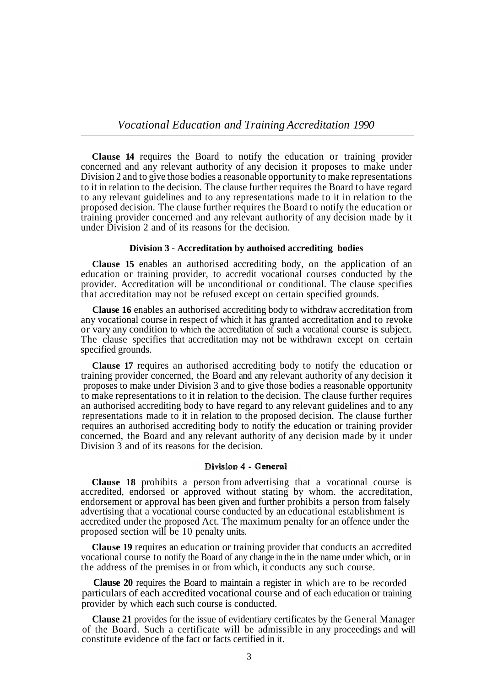**Clause 14** requires the Board to notify the education or training provider concerned and any relevant authority of any decision it proposes to make under Division 2 and to give those bodies a reasonable opportunity to make representations to it in relation to the decision. The clause further requires the Board to have regard to any relevant guidelines and to any representations made to it in relation to the proposed decision. The clause further requires the Board to notify the education or training provider concerned and any relevant authority of any decision made by it under Division 2 and of its reasons for the decision.

#### **Division 3 - Accreditation by authoised accrediting bodies**

**Clause 15** enables an authorised accrediting body, on the application of an education or training provider, to accredit vocational courses conducted by the provider. Accreditation will be unconditional or conditional. The clause specifies that accreditation may not be refused except on certain specified grounds.

**Clause 16** enables an authorised accrediting body to withdraw accreditation from any vocational course in respect of which it has granted accreditation and to revoke or vary any condition to which the accreditation of such a vocational course is subject. The clause specifies that accreditation may not be withdrawn except on certain specified grounds.

**Clause 17** requires an authorised accrediting body to notify the education or training provider concerned, the Board and any relevant authority of any decision it proposes to make under Division 3 and to give those bodies a reasonable opportunity to make representations to it in relation to the decision. The clause further requires an authorised accrediting body to have regard to any relevant guidelines and to any representations made to it in relation to the proposed decision. The clause further requires an authorised accrediting body to notify the education or training provider concerned, the Board and any relevant authority of any decision made by it under Division 3 and of its reasons for the decision.

## Division 4 - General

**Clause 18** prohibits a person from advertising that a vocational course is accredited, endorsed or approved without stating by whom. the accreditation, endorsement or approval has been given and further prohibits a person from falsely advertising that a vocational course conducted by an educational establishment is accredited under the proposed Act. The maximum penalty for an offence under the proposed section will be 10 penalty units.

**Clause 19** requires an education or training provider that conducts an accredited vocational course to notify the Board of any change in the in the name under which, or in the address of the premises in or from which, it conducts any such course.

**Clause 20** requires the Board to maintain a register in which are to be recorded particulars of each accredited vocational course and of each education or training provider by which each such course is conducted.

**Clause 21** provides for the issue of evidentiary certificates by the General Manager of the Board. Such a certificate will be admissible in any proceedings and will constitute evidence of the fact or facts certified in it.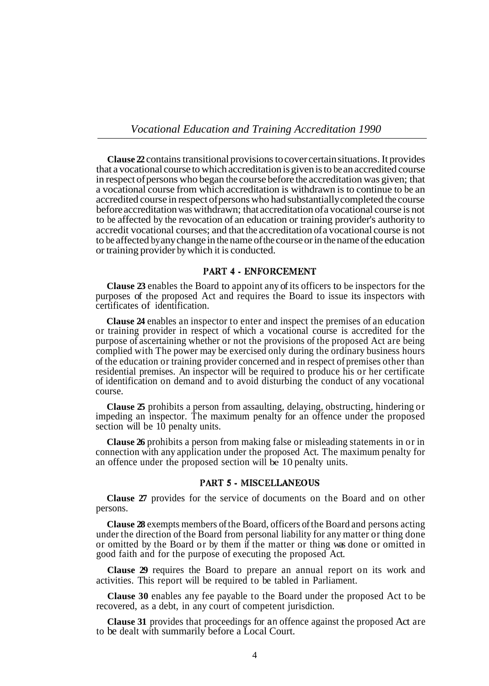**Clause 22** contains transitional provisions to cover certain situations. It provides that a vocational course to which accreditation is given is to be an accredited course in respect of persons who began the course before the accreditation was given; that a vocational course from which accreditation is withdrawn is to continue to be an accredited course in respect of persons who had substantially completed the course before accreditation was withdrawn; that accreditation of a vocational course is not to be affected by the revocation of an education or training provider's authority to accredit vocational courses; and that the accreditation of a vocational course is not to be affected by any change in the name of the course or in the name of the education or training provider by which it is conducted.

# PART 4 - ENFORCEMENT

**Clause 23** enables the Board to appoint any of its officers to be inspectors for the purposes of the proposed Act and requires the Board to issue its inspectors with certificates of identification.

**Clause 24** enables an inspector to enter and inspect the premises of an education or training provider in respect of which a vocational course is accredited for the purpose of ascertaining whether or not the provisions of the proposed Act are being complied with The power may be exercised only during the ordinary business hours of the education or training provider concerned and in respect of premises other than residential premises. An inspector will be required to produce his or her certificate of identification on demand and to avoid disturbing the conduct of any vocational course.

**Clause 25** prohibits a person from assaulting, delaying, obstructing, hindering or impeding an inspector. The maximum penalty for an offence under the proposed section will be 10 penalty units.

**Clause 26** prohibits a person from making false or misleading statements in or in connection with any application under the proposed Act. The maximum penalty for an offence under the proposed section will be 10 penalty units.

### **PART 5 - MISCELLANEOUS**

**Clause 27** provides for the service of documents on the Board and on other persons.

**Clause 28** exempts members of the Board, officers of the Board and persons acting under the direction of the Board from personal liability for any matter or thing done or omitted by the Board or by them if the matter or thing was done or omitted in good faith and for the purpose of executing the proposed Act.

**Clause 29** requires the Board to prepare an annual report on its work and activities. This report will be required to be tabled in Parliament.

**Clause 30** enables any fee payable to the Board under the proposed Act to be recovered, as a debt, in any court of competent jurisdiction.

**Clause 31** provides that proceedings for an offence against the proposed Act are to be dealt with summarily before a Local Court.